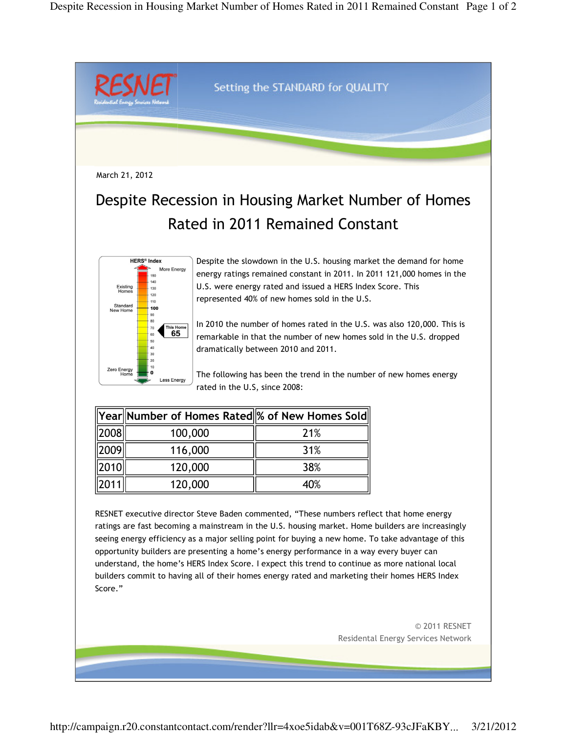

understand, the home's HERS Index Score. I expect this trend to continue as more national local builders commit to having all of their homes energy rated and marketing their homes HERS Index Score."

> © 2011 RESNET Residental Energy Services Network